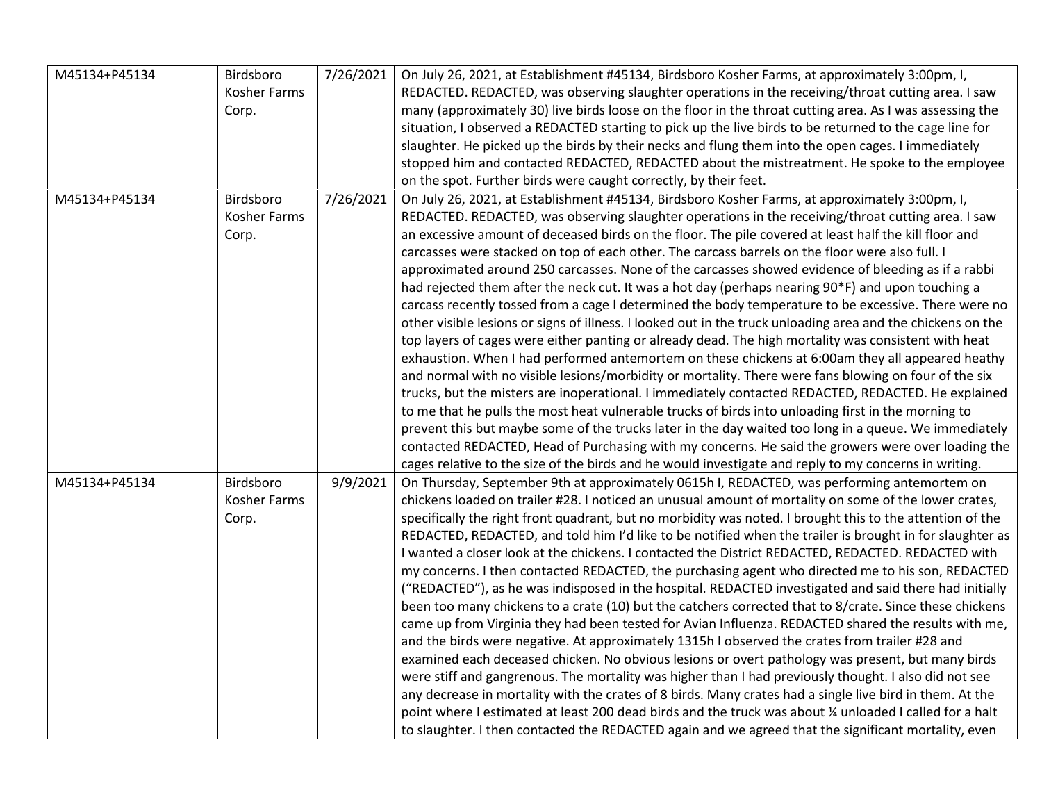| M45134+P45134 | Birdsboro           | 7/26/2021 | On July 26, 2021, at Establishment #45134, Birdsboro Kosher Farms, at approximately 3:00pm, I,              |
|---------------|---------------------|-----------|-------------------------------------------------------------------------------------------------------------|
|               | <b>Kosher Farms</b> |           | REDACTED. REDACTED, was observing slaughter operations in the receiving/throat cutting area. I saw          |
|               | Corp.               |           | many (approximately 30) live birds loose on the floor in the throat cutting area. As I was assessing the    |
|               |                     |           | situation, I observed a REDACTED starting to pick up the live birds to be returned to the cage line for     |
|               |                     |           | slaughter. He picked up the birds by their necks and flung them into the open cages. I immediately          |
|               |                     |           | stopped him and contacted REDACTED, REDACTED about the mistreatment. He spoke to the employee               |
|               |                     |           | on the spot. Further birds were caught correctly, by their feet.                                            |
| M45134+P45134 | Birdsboro           | 7/26/2021 | On July 26, 2021, at Establishment #45134, Birdsboro Kosher Farms, at approximately 3:00pm, I,              |
|               | Kosher Farms        |           | REDACTED. REDACTED, was observing slaughter operations in the receiving/throat cutting area. I saw          |
|               | Corp.               |           | an excessive amount of deceased birds on the floor. The pile covered at least half the kill floor and       |
|               |                     |           | carcasses were stacked on top of each other. The carcass barrels on the floor were also full. I             |
|               |                     |           | approximated around 250 carcasses. None of the carcasses showed evidence of bleeding as if a rabbi          |
|               |                     |           | had rejected them after the neck cut. It was a hot day (perhaps nearing 90*F) and upon touching a           |
|               |                     |           | carcass recently tossed from a cage I determined the body temperature to be excessive. There were no        |
|               |                     |           |                                                                                                             |
|               |                     |           | other visible lesions or signs of illness. I looked out in the truck unloading area and the chickens on the |
|               |                     |           | top layers of cages were either panting or already dead. The high mortality was consistent with heat        |
|               |                     |           | exhaustion. When I had performed antemortem on these chickens at 6:00am they all appeared heathy            |
|               |                     |           | and normal with no visible lesions/morbidity or mortality. There were fans blowing on four of the six       |
|               |                     |           | trucks, but the misters are inoperational. I immediately contacted REDACTED, REDACTED. He explained         |
|               |                     |           | to me that he pulls the most heat vulnerable trucks of birds into unloading first in the morning to         |
|               |                     |           | prevent this but maybe some of the trucks later in the day waited too long in a queue. We immediately       |
|               |                     |           | contacted REDACTED, Head of Purchasing with my concerns. He said the growers were over loading the          |
|               |                     |           | cages relative to the size of the birds and he would investigate and reply to my concerns in writing.       |
| M45134+P45134 | Birdsboro           | 9/9/2021  | On Thursday, September 9th at approximately 0615h I, REDACTED, was performing antemortem on                 |
|               | Kosher Farms        |           | chickens loaded on trailer #28. I noticed an unusual amount of mortality on some of the lower crates,       |
|               | Corp.               |           | specifically the right front quadrant, but no morbidity was noted. I brought this to the attention of the   |
|               |                     |           | REDACTED, REDACTED, and told him I'd like to be notified when the trailer is brought in for slaughter as    |
|               |                     |           | I wanted a closer look at the chickens. I contacted the District REDACTED, REDACTED. REDACTED with          |
|               |                     |           | my concerns. I then contacted REDACTED, the purchasing agent who directed me to his son, REDACTED           |
|               |                     |           | ("REDACTED"), as he was indisposed in the hospital. REDACTED investigated and said there had initially      |
|               |                     |           | been too many chickens to a crate (10) but the catchers corrected that to 8/crate. Since these chickens     |
|               |                     |           | came up from Virginia they had been tested for Avian Influenza. REDACTED shared the results with me,        |
|               |                     |           | and the birds were negative. At approximately 1315h I observed the crates from trailer #28 and              |
|               |                     |           | examined each deceased chicken. No obvious lesions or overt pathology was present, but many birds           |
|               |                     |           | were stiff and gangrenous. The mortality was higher than I had previously thought. I also did not see       |
|               |                     |           | any decrease in mortality with the crates of 8 birds. Many crates had a single live bird in them. At the    |
|               |                     |           | point where I estimated at least 200 dead birds and the truck was about ¼ unloaded I called for a halt      |
|               |                     |           | to slaughter. I then contacted the REDACTED again and we agreed that the significant mortality, even        |